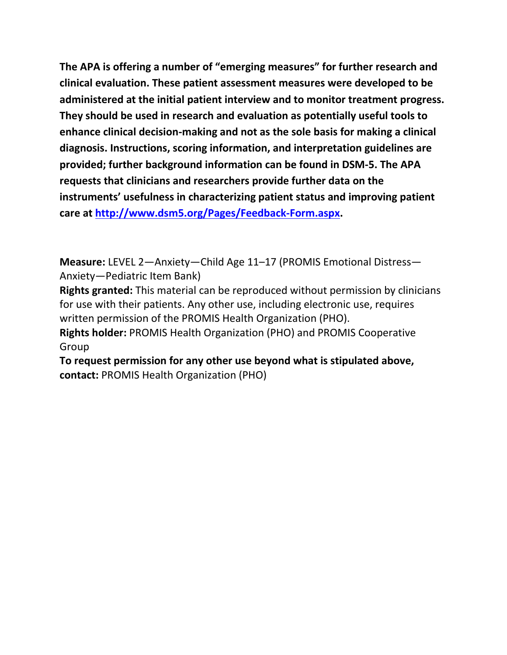**The APA is offering a number of "emerging measures" for further research and clinical evaluation. These patient assessment measures were developed to be administered at the initial patient interview and to monitor treatment progress. They should be used in research and evaluation as potentially useful tools to enhance clinical decision-making and not as the sole basis for making a clinical diagnosis. Instructions, scoring information, and interpretation guidelines are provided; further background information can be found in DSM-5. The APA requests that clinicians and researchers provide further data on the instruments' usefulness in characterizing patient status and improving patient care at [http://www.dsm5.org/Pages/Feedback-Form.aspx.](http://www.dsm5.org/Pages/Feedback-Form.aspx)**

**Measure:** LEVEL 2—Anxiety—Child Age 11–17 (PROMIS Emotional Distress— Anxiety—Pediatric Item Bank)

**Rights granted:** This material can be reproduced without permission by clinicians for use with their patients. Any other use, including electronic use, requires written permission of the PROMIS Health Organization (PHO).

**Rights holder:** PROMIS Health Organization (PHO) and PROMIS Cooperative Group

**To request permission for any other use beyond what is stipulated above, contact:** PROMIS Health Organization (PHO)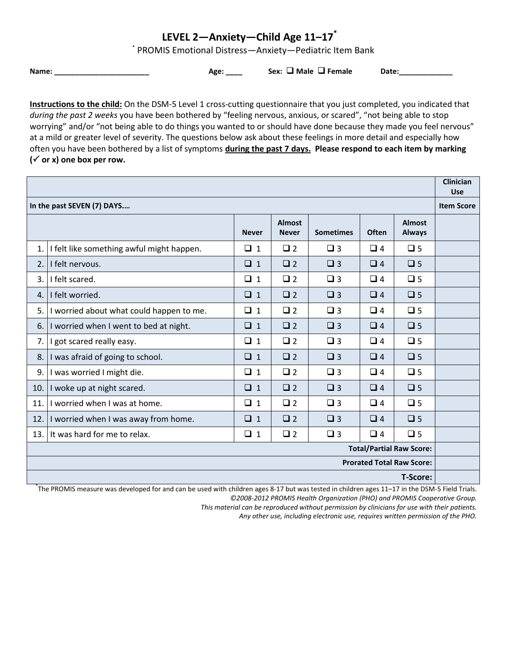## **LEVEL 2—Anxiety—Child Age 11–17\***

\* PROMIS Emotional Distress—Anxiety—Pediatric Item Bank

**Name: \_\_\_\_\_\_\_\_\_\_\_\_\_\_\_\_\_\_\_\_\_\_\_ Age: \_\_\_\_ Sex: Male Female Date:\_\_\_\_\_\_\_\_\_\_\_\_\_**

**Instructions to the child:** On the DSM-5 Level 1 cross-cutting questionnaire that you just completed, you indicated that *during the past 2 weeks* you have been bothered by "feeling nervous, anxious, or scared", "not being able to stop worrying" and/or "not being able to do things you wanted to or should have done because they made you feel nervous" at a mild or greater level of severity. The questions below ask about these feelings in more detail and especially how often you have been bothered by a list of symptoms **during the past 7 days. Please respond to each item by marking**   $({\checkmark}$  or x) one box per row.

|                                                 |                                           |              |                               |                  | <b>Clinician</b><br><b>Use</b> |                                |  |
|-------------------------------------------------|-------------------------------------------|--------------|-------------------------------|------------------|--------------------------------|--------------------------------|--|
| In the past SEVEN (7) DAYS<br><b>Item Score</b> |                                           |              |                               |                  |                                |                                |  |
|                                                 |                                           | <b>Never</b> | <b>Almost</b><br><b>Never</b> | <b>Sometimes</b> | Often                          | <b>Almost</b><br><b>Always</b> |  |
| 1.                                              | I felt like something awful might happen. | $\Box$ 1     | $\Box$ 2                      | $\Box$ 3         | $\Box$ 4                       | $\Box$ 5                       |  |
| 2.                                              | I felt nervous.                           | $\Box$ 1     | $\Box$ 2                      | $\Box$ 3         | $\Box$ 4                       | $\Box$ 5                       |  |
| 3.                                              | I felt scared.                            | $\Box$ 1     | $\Box$ 2                      | $\Box$ 3         | $\Box$ 4                       | $\Box$ 5                       |  |
| 4.                                              | I felt worried.                           | $\Box$ 1     | $\Box$ 2                      | $\Box$ 3         | $\Box$ 4                       | $\Box$ 5                       |  |
| 5.                                              | I worried about what could happen to me.  | $\Box$ 1     | $\Box$ 2                      | $\Box$ 3         | $\Box$ 4                       | $\Box$ 5                       |  |
| 6.                                              | I worried when I went to bed at night.    | $\Box$ 1     | $\Box$ 2                      | $\Box$ 3         | $\Box$ 4                       | $\Box$ 5                       |  |
| 7.                                              | I got scared really easy.                 | $\Box$ 1     | $\Box$ 2                      | $\Box$ 3         | $\Box$ 4                       | $\square$ 5                    |  |
| 8.                                              | I was afraid of going to school.          | $\Box$ 1     | $\Box$ 2                      | $\Box$ 3         | $\Box$ 4                       | $\Box$ 5                       |  |
| 9.                                              | I was worried I might die.                | $\Box$ 1     | $\Box$ 2                      | $\Box$ 3         | $\Box$ 4                       | $\square$ 5                    |  |
| 10.                                             | I woke up at night scared.                | $\Box$ 1     | $\Box$ 2                      | $\Box$ 3         | $\Box$ 4                       | $\Box$ 5                       |  |
| 11.                                             | I worried when I was at home.             | $\Box$ 1     | $\Box$ 2                      | $\Box$ 3         | $\Box$ 4                       | $\Box$ 5                       |  |
| 12.                                             | I worried when I was away from home.      | $\Box$ 1     | $\Box$ 2                      | $\Box$ 3         | $\Box$ 4                       | $\Box$ 5                       |  |
| 13.                                             | It was hard for me to relax.              | $\Box$ 1     | $\Box$ 2                      | $\Box$ 3         | $\Box$ 4                       | $\Box$ 5                       |  |
| <b>Total/Partial Raw Score:</b>                 |                                           |              |                               |                  |                                |                                |  |
| <b>Prorated Total Raw Score:</b>                |                                           |              |                               |                  |                                |                                |  |
| <b>T-Score:</b>                                 |                                           |              |                               |                  |                                |                                |  |

\* The PROMIS measure was developed for and can be used with children ages 8-17 but was tested in children ages 11–17 in the DSM-5 Field Trials. *©2008-2012 PROMIS Health Organization (PHO) and PROMIS Cooperative Group.*

*This material can be reproduced without permission by clinicians for use with their patients.*

*Any other use, including electronic use, requires written permission of the PHO.*